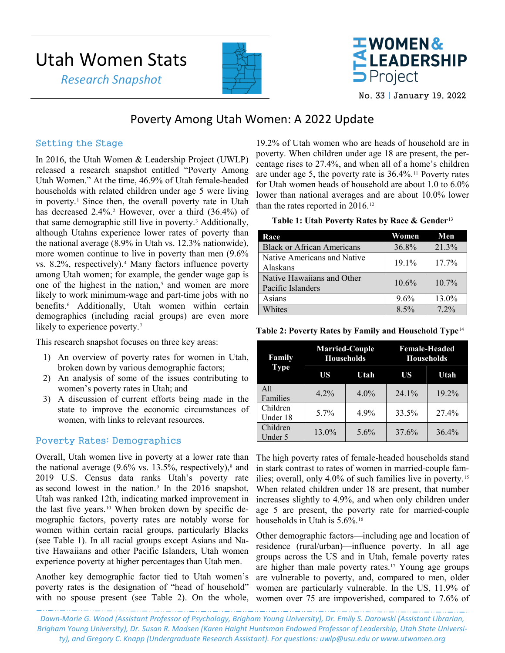# Utah Women Stats

 *Research Snapshot*





No. 33 | January 19, 2022

## Poverty Among Utah Women: A 2022 Update

### Setting the Stage

In 2016, the Utah Women & Leadership Project (UWLP) released a research snapshot entitled ["Poverty Among](https://www.usu.edu/uwlp/files/snapshot/14.pdf)  [Utah Women.](https://www.usu.edu/uwlp/files/snapshot/14.pdf)" At the time, 46.9% of Utah female-headed households with related children under age 5 were living in poverty.<sup>[1](#page-2-0)</sup> Since then, the overall poverty rate in Utah has decreased [2](#page-2-1).4%.<sup>2</sup> However, over a third (36.4%) of that same demographic still live in poverty.[3](#page-3-0) Additionally, although Utahns experience lower rates of poverty than the national average (8.9% in Utah vs. 12.3% nationwide), more women continue to live in poverty than men (9.6% vs. 8.2%, respectively)[.4](#page-3-1) Many factors influence poverty among Utah women; for example, the gender wage gap is one of the highest in the nation, $5$  and women are more likely to work minimum-wage and part-time jobs with no benefits.[6](#page-3-3) Additionally, Utah women within certain demographics (including racial groups) are even more likely to experience poverty.<sup>[7](#page-3-4)</sup>

This research snapshot focuses on three key areas:

- 1) An overview of poverty rates for women in Utah, broken down by various demographic factors;
- 2) An analysis of some of the issues contributing to women's poverty rates in Utah; and
- 3) A discussion of current efforts being made in the state to improve the economic circumstances of women, with links to relevant resources.

#### Poverty Rates: Demographics

Overall, Utah women live in poverty at a lower rate than the national average  $(9.6\% \text{ vs. } 13.5\%$ , respectively),<sup>[8](#page-3-5)</sup> and 2019 U.S. Census data ranks Utah's poverty rate as second lowest in the nation.<sup>[9](#page-3-6)</sup> In the 2016 snapshot, Utah was ranked 12th, indicating marked improvement in the last five years.[10](#page-3-7) When broken down by specific demographic factors, poverty rates are notably worse for women within certain racial groups, particularly Blacks (see Table 1). In all racial groups except Asians and Native Hawaiians and other Pacific Islanders, Utah women experience poverty at higher percentages than Utah men.

Another key demographic factor tied to Utah women's poverty rates is the designation of "head of household" with no spouse present (see Table 2). On the whole,

19.2% of Utah women who are heads of household are in poverty. When children under age 18 are present, the percentage rises to 27.4%, and when all of a home's children are under age 5, the poverty rate is  $36.4\%$ .<sup>[11](#page-3-8)</sup> Poverty rates for Utah women heads of household are about 1.0 to 6.0% lower than national averages and are about 10.0% lower than the rates reported in 2016.[12](#page-3-9)

|  |  | Table 1: Utah Poverty Rates by Race & Gender <sup>13</sup> |  |
|--|--|------------------------------------------------------------|--|
|  |  |                                                            |  |

| Race                                            | Women | Men     |
|-------------------------------------------------|-------|---------|
| <b>Black or African Americans</b>               | 36.8% | 21.3%   |
| Native Americans and Native<br>Alaskans         | 19.1% | 17.7%   |
| Native Hawaiians and Other<br>Pacific Islanders | 10.6% | 10.7%   |
| Asians                                          | 9.6%  | 13.0%   |
| Whites                                          | 8.5%  | $7.2\%$ |

**Table 2: Poverty Rates by Family and Household Type**[14](#page-3-11)

| Family               | <b>Married-Couple</b><br><b>Households</b> |         | <b>Female-Headed</b><br><b>Households</b> |       |
|----------------------|--------------------------------------------|---------|-------------------------------------------|-------|
| <b>Type</b>          | US                                         | Utah    | US                                        | Utah  |
| A11<br>Families      | $4.2\%$                                    | $4.0\%$ | $24.1\%$                                  | 19.2% |
| Children<br>Under 18 | 5.7%                                       | 4.9%    | 33.5%                                     | 27.4% |
| Children<br>Under 5  | 13.0%                                      | 5.6%    | 37.6%                                     | 36.4% |

The high poverty rates of female-headed households stand in stark contrast to rates of women in married-couple families; overall, only 4.0% of such families live in poverty.[15](#page-3-12) When related children under 18 are present, that number increases slightly to 4.9%, and when only children under age 5 are present, the poverty rate for married-couple households in Utah is 5.6%.[16](#page-3-13)

Other demographic factors—including age and location of residence (rural/urban)—influence poverty. In all age groups across the US and in Utah, female poverty rates are higher than male poverty rates.[17](#page-3-14) Young age groups are vulnerable to poverty, and, compared to men, older women are particularly vulnerable. In the US, 11.9% of women over 75 are impoverished, compared to 7.6% of

*Dawn-Marie G. Wood (Assistant Professor of Psychology, Brigham Young University), Dr. Emily S. Darowski (Assistant Librarian, Brigham Young University), Dr. Susan R. Madsen (Karen Haight Huntsman Endowed Professor of Leadership, Utah State University), and Gregory C. Knapp (Undergraduate Research Assistant). For questions: [uwlp@usu.edu](mailto:uwlp@usu.edu) or [www.utwomen.org](http://www.utwomen.org/)*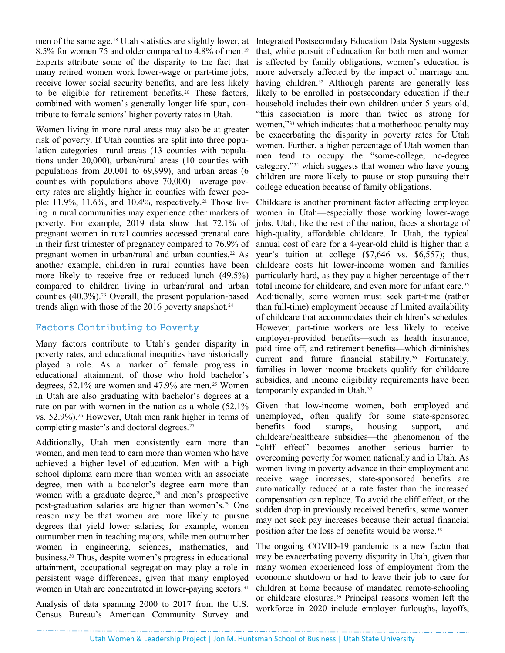men of the same age.[18](#page-3-15) Utah statistics are slightly lower, at 8.5% for women 75 and older compared to 4.8% of men.[19](#page-3-16) Experts attribute some of the disparity to the fact that many retired women work lower-wage or part-time jobs, receive lower social security benefits, and are less likely to be eligible for retirement benefits.[20](#page-3-17) These factors, combined with women's generally longer life span, contribute to female seniors' higher poverty rates in Utah.

Women living in more rural areas may also be at greater risk of poverty. If Utah counties are split into three population categories—rural areas (13 counties with populations under 20,000), urban/rural areas (10 counties with populations from 20,001 to 69,999), and urban areas (6 counties with populations above 70,000)—average poverty rates are slightly higher in counties with fewer people:  $11.9\%$ ,  $11.6\%$ , and  $10.4\%$ , respectively.<sup>[21](#page-3-18)</sup> Those living in rural communities may experience other markers of poverty. For example, 2019 data show that 72.1% of pregnant women in rural counties accessed prenatal care in their first trimester of pregnancy compared to 76.9% of pregnant women in urban/rural and urban counties.<sup>[22](#page-3-19)</sup> As another example, children in rural counties have been more likely to receive free or reduced lunch (49.5%) compared to children living in urban/rural and urban counties  $(40.3\%)$ .<sup>[23](#page-3-20)</sup> Overall, the present population-based trends align with those of the 2016 poverty snapshot.<sup>[24](#page-3-21)</sup>

#### Factors Contributing to Poverty

Many factors contribute to Utah's gender disparity in poverty rates, and educational inequities have historically played a role. As a marker of female progress in educational attainment, of those who hold bachelor's degrees, 52.1% are women and 47.9% are men.<sup>[25](#page-3-22)</sup> Women in Utah are also graduating with bachelor's degrees at a rate on par with women in the nation as a whole (52.1% vs. 52.9%).[26](#page-3-23) However, Utah men rank higher in terms of completing master's and doctoral degrees.<sup>[27](#page-3-24)</sup>

Additionally, Utah men consistently earn more than women, and men tend to earn more than women who have achieved a higher level of education. Men with a high school diploma earn more than women with an associate degree, men with a bachelor's degree earn more than women with a graduate degree, $28$  and men's prospective post-graduation salaries are higher than women's.[29](#page-3-26) One reason may be that women are more likely to pursue degrees that yield lower salaries; for example, women outnumber men in teaching majors, while men outnumber women in engineering, sciences, mathematics, and business.[30](#page-3-1) Thus, despite women's progress in educational attainment, occupational segregation may play a role in persistent wage differences, given that many employed women in Utah are concentrated in lower-paying sectors.<sup>[31](#page-3-3)</sup>

Analysis of data spanning 2000 to 2017 from the U.S. Census Bureau's American Community Survey and

Integrated Postsecondary Education Data System suggests that, while pursuit of education for both men and women is affected by family obligations, women's education is more adversely affected by the impact of marriage and having children.<sup>[32](#page-3-27)</sup> Although parents are generally less likely to be enrolled in postsecondary education if their household includes their own children under 5 years old, "this association is more than twice as strong for women,"<sup>[33](#page-3-28)</sup> which indicates that a motherhood penalty may be exacerbating the disparity in poverty rates for Utah women. Further, a higher percentage of Utah women than men tend to occupy the "some-college, no-degree category,"[34](#page-3-29) which suggests that women who have young children are more likely to pause or stop pursuing their college education because of family obligations.

Childcare is another prominent factor affecting employed women in Utah—especially those working lower-wage jobs. Utah, like the rest of the nation, faces a shortage of high-quality, affordable childcare. In Utah, the typical annual cost of care for a 4-year-old child is higher than a year's tuition at college (\$7,646 vs. \$6,557); thus, childcare costs hit lower-income women and families particularly hard, as they pay a higher percentage of their total income for childcare, and even more for infant care.<sup>[35](#page-3-4)</sup> Additionally, some women must seek part-time (rather than full-time) employment because of limited availability of childcare that accommodates their children's schedules. However, part-time workers are less likely to receive employer-provided benefits—such as health insurance, paid time off, and retirement benefits—which diminishes current and future financial stability.<sup>[36](#page-3-6)</sup> Fortunately, families in lower income brackets qualify for childcare subsidies, and income eligibility requirements have been temporarily expanded in Utah.[37](#page-3-9)

Given that low-income women, both employed and unemployed, often qualify for some state-sponsored benefits—food stamps, housing support, and childcare/healthcare subsidies—the phenomenon of the "cliff effect" becomes another serious barrier to overcoming poverty for women nationally and in Utah. As women living in poverty advance in their employment and receive wage increases, state-sponsored benefits are automatically reduced at a rate faster than the increased compensation can replace. To avoid the cliff effect, or the sudden drop in previously received benefits, some women may not seek pay increases because their actual financial position after the loss of benefits would be worse.<sup>[38](#page-3-30)</sup>

The ongoing COVID-19 pandemic is a new factor that may be exacerbating poverty disparity in Utah, given that many women experienced loss of employment from the economic shutdown or had to leave their job to care for children at home because of mandated remote-schooling or childcare closures.[39](#page-3-31) Principal reasons women left the workforce in 2020 include employer furloughs, layoffs,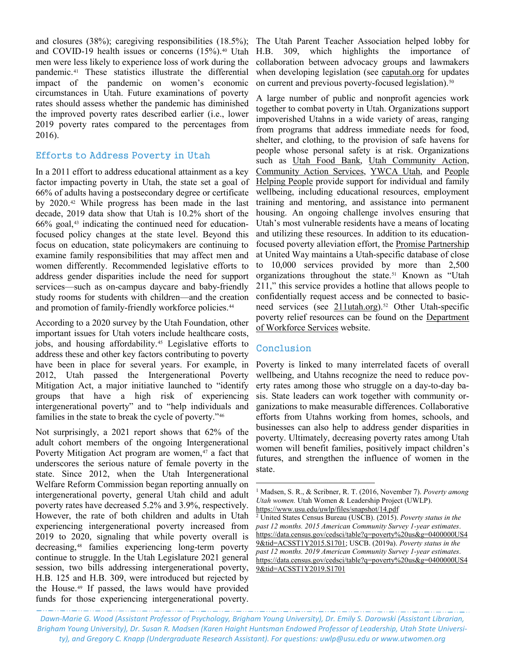and closures (38%); caregiving responsibilities (18.5%); and COVID-19 health issues or concerns (15%)[.40](#page-3-32) Utah men were less likely to experience loss of work during the pandemic.[41](#page-3-33) These statistics illustrate the differential impact of the pandemic on women's economic circumstances in Utah. Future examinations of poverty rates should assess whether the pandemic has diminished the improved poverty rates described earlier (i.e., lower 2019 poverty rates compared to the percentages from 2016).

#### Efforts to Address Poverty in Utah

In a 2011 effort to address educational attainment as a key factor impacting poverty in Utah, the state set a goal of 66% of adults having a postsecondary degree or certificate by 2020.[42](#page-3-12) While progress has been made in the last decade, 2019 data show that Utah is 10.2% short of the  $66\%$  goal, $43$  indicating the continued need for educationfocused policy changes at the state level. Beyond this focus on education, state policymakers are continuing to examine family responsibilities that may affect men and women differently. Recommended legislative efforts to address gender disparities include the need for support services—such as on-campus daycare and baby-friendly study rooms for students with children—and the creation and promotion of family-friendly workforce policies.<sup>[44](#page-3-34)</sup>

According to a 2020 survey by the Utah Foundation, other important issues for Utah voters include healthcare costs, jobs, and housing affordability.[45](#page-3-35) Legislative efforts to address these and other key factors contributing to poverty have been in place for several years. For example, in 2012, Utah passed the Intergenerational Poverty Mitigation Act, a major initiative launched to "identify groups that have a high risk of experiencing intergenerational poverty" and to "help individuals and families in the state to break the cycle of poverty."[46](#page-3-17)

<span id="page-2-1"></span><span id="page-2-0"></span>Not surprisingly, a 2021 report shows that 62% of the adult cohort members of the ongoing Intergenerational Poverty Mitigation Act program are women,<sup>[47](#page-3-36)</sup> a fact that underscores the serious nature of female poverty in the state. Since 2012, when the Utah Intergenerational Welfare Reform Commission began reporting annually on intergenerational poverty, general Utah child and adult poverty rates have decreased 5.2% and 3.9%, respectively. However, the rate of both children and adults in Utah experiencing intergenerational poverty increased from 2019 to 2020, signaling that while poverty overall is decreasing[,48](#page-3-37) families experiencing long-term poverty continue to struggle. In the Utah Legislature 2021 general session, two bills addressing intergenerational poverty, H.B. 125 and H.B. 309, were introduced but rejected by the House.[49](#page-3-18) If passed, the laws would have provided funds for those experiencing intergenerational poverty.

The Utah Parent Teacher Association helped lobby for H.B. 309, which highlights the importance of collaboration between advocacy groups and lawmakers when developing legislation (see [caputah.org](http://caputah.org/) for updates on current and previous poverty-focused legislation).<sup>[50](#page-3-38)</sup>

A large number of public and nonprofit agencies work together to combat poverty in Utah. Organizations support impoverished Utahns in a wide variety of areas, ranging from programs that address immediate needs for food, shelter, and clothing, to the provision of safe havens for people whose personal safety is at risk. Organizations such as [Utah Food Bank,](https://www.utahfoodbank.org/) [Utah Community Action,](https://www.utahca.org/) [Community Action](https://www.communityactionprovo.org/) Services, [YWCA Utah,](https://www.ywcautah.org/) and [People](https://www.phputah.org/)  [Helping People](https://www.phputah.org/) provide support for individual and family wellbeing, including educational resources, employment training and mentoring, and assistance into permanent housing. An ongoing challenge involves ensuring that Utah's most vulnerable residents have a means of locating and utilizing these resources. In addition to its educationfocused poverty alleviation effort, the [Promise Partnership](https://promiseutah.org/) at United Way maintains a Utah-specific database of close to 10,000 services provided by more than 2,500 organizations throughout the state.[51](#page-3-39) Known as "Utah 211," this service provides a hotline that allows people to confidentially request access and be connected to basicneed services (see  $211$ utah.org).<sup>[52](#page-3-40)</sup> Other Utah-specific poverty relief resources can be found on the [Department](https://jobs.utah.gov/assistance/)  [of Workforce Services](https://jobs.utah.gov/assistance/) website.

#### Conclusion

Poverty is linked to many interrelated facets of overall wellbeing, and Utahns recognize the need to reduce poverty rates among those who struggle on a day-to-day basis. State leaders can work together with community organizations to make measurable differences. Collaborative efforts from Utahns working from homes, schools, and businesses can also help to address gender disparities in poverty. Ultimately, decreasing poverty rates among Utah women will benefit families, positively impact children's futures, and strengthen the influence of women in the state.

*Dawn-Marie G. Wood (Assistant Professor of Psychology, Brigham Young University), Dr. Emily S. Darowski (Assistant Librarian, Brigham Young University), Dr. Susan R. Madsen (Karen Haight Huntsman Endowed Professor of Leadership, Utah State University), and Gregory C. Knapp (Undergraduate Research Assistant). For questions: [uwlp@usu.edu](mailto:uwlp@usu.edu) or [www.utwomen.org](http://www.utwomen.org/)*

 $\overline{\phantom{a}}$ 

<sup>1</sup> Madsen, S. R., & Scribner, R. T. (2016, November 7). *Poverty among Utah women.* Utah Women & Leadership Project (UWLP). <https://www.usu.edu/uwlp/files/snapshot/14.pdf>

<sup>2</sup> United States Census Bureau (USCB). (2015). *Poverty status in the past 12 months. 2015 American Community Survey 1-year estimates*. [https://data.census.gov/cedsci/table?q=poverty%20us&g=0400000US4](https://data.census.gov/cedsci/table?q=poverty%20us&g=0400000US49&tid=ACSST1Y2015.S1701) [9&tid=ACSST1Y2015.S1701;](https://data.census.gov/cedsci/table?q=poverty%20us&g=0400000US49&tid=ACSST1Y2015.S1701) USCB. (2019a). *Poverty status in the past 12 months. 2019 American Community Survey 1-year estimates*. [https://data.census.gov/cedsci/table?q=poverty%20us&g=0400000US4](https://data.census.gov/cedsci/table?q=poverty%20us&g=0400000US49&tid=ACSST1Y2019.S1701) [9&tid=ACSST1Y2019.S1701](https://data.census.gov/cedsci/table?q=poverty%20us&g=0400000US49&tid=ACSST1Y2019.S1701)